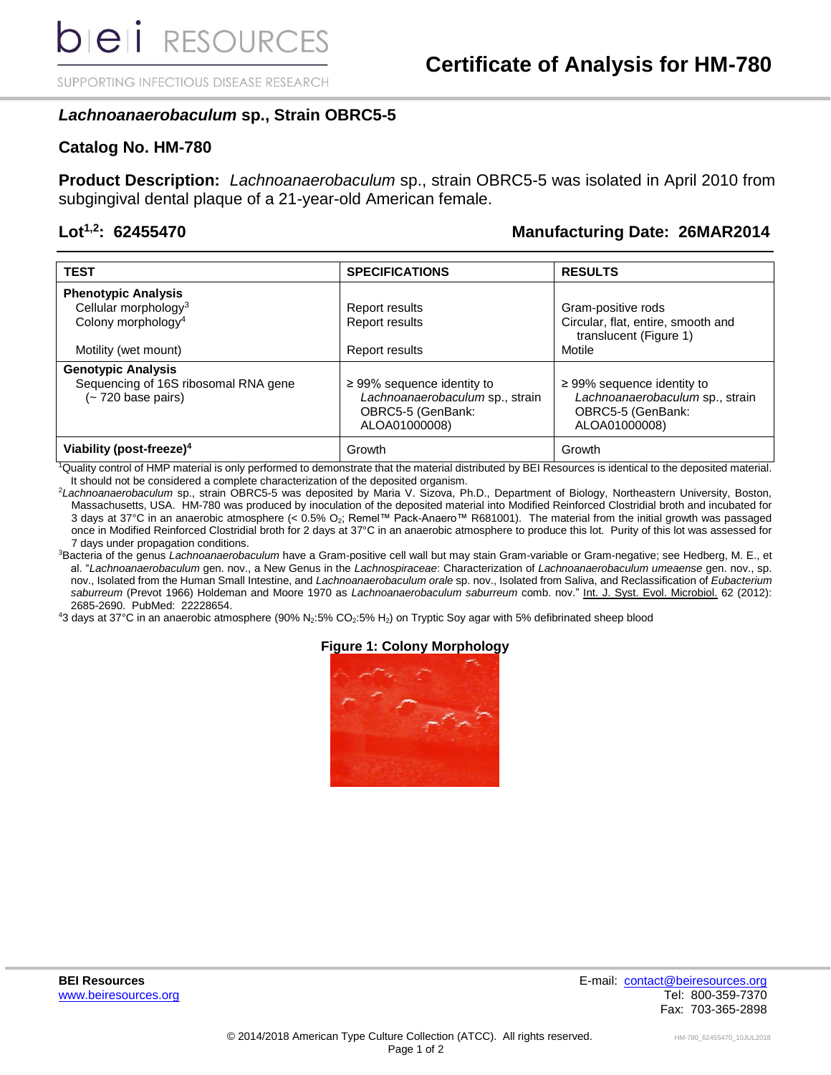SUPPORTING INFECTIOUS DISEASE RESEARCH

# *Lachnoanaerobaculum* **sp., Strain OBRC5-5**

## **Catalog No. HM-780**

**Product Description:** *Lachnoanaerobaculum* sp., strain OBRC5-5 was isolated in April 2010 from subgingival dental plaque of a 21-year-old American female.

# **Lot1,2: 62455470 Manufacturing Date: 26MAR2014**

| <b>TEST</b>                                               | <b>SPECIFICATIONS</b>                                                                                    | <b>RESULTS</b>                                                                                           |
|-----------------------------------------------------------|----------------------------------------------------------------------------------------------------------|----------------------------------------------------------------------------------------------------------|
| <b>Phenotypic Analysis</b>                                |                                                                                                          |                                                                                                          |
| Cellular morphology <sup>3</sup>                          | Report results                                                                                           | Gram-positive rods                                                                                       |
| Colony morphology <sup>4</sup>                            | Report results                                                                                           | Circular, flat, entire, smooth and<br>translucent (Figure 1)                                             |
| Motility (wet mount)                                      | Report results                                                                                           | Motile                                                                                                   |
| <b>Genotypic Analysis</b>                                 |                                                                                                          |                                                                                                          |
| Sequencing of 16S ribosomal RNA gene<br>(~720 base pairs) | $\geq$ 99% sequence identity to<br>Lachnoanaerobaculum sp., strain<br>OBRC5-5 (GenBank:<br>ALOA01000008) | $\geq$ 99% sequence identity to<br>Lachnoanaerobaculum sp., strain<br>OBRC5-5 (GenBank:<br>ALOA01000008) |
| Viability (post-freeze) <sup>4</sup>                      | Growth                                                                                                   | Growth                                                                                                   |

<sup>1</sup>Quality control of HMP material is only performed to demonstrate that the material distributed by BEI Resources is identical to the deposited material. It should not be considered a complete characterization of the deposited organism.

<sup>2</sup>*Lachnoanaerobaculum* sp., strain OBRC5-5 was deposited by Maria V. Sizova, Ph.D., Department of Biology, Northeastern University, Boston, Massachusetts, USA. HM-780 was produced by inoculation of the deposited material into Modified Reinforced Clostridial broth and incubated for 3 days at 37°C in an anaerobic atmosphere (< 0.5% O2; Remel™ Pack-Anaero™ R681001). The material from the initial growth was passaged once in Modified Reinforced Clostridial broth for 2 days at 37°C in an anaerobic atmosphere to produce this lot. Purity of this lot was assessed for 7 days under propagation conditions.

<sup>3</sup>Bacteria of the genus *Lachnoanaerobaculum* have a Gram-positive cell wall but may stain Gram-variable or Gram-negative; see Hedberg, M. E., et al. "*Lachnoanaerobaculum* gen. nov., a New Genus in the *Lachnospiraceae*: Characterization of *Lachnoanaerobaculum umeaense* gen. nov., sp. nov., Isolated from the Human Small Intestine, and *Lachnoanaerobaculum orale* sp. nov., Isolated from Saliva, and Reclassification of *Eubacterium saburreum* (Prevot 1966) Holdeman and Moore 1970 as *Lachnoanaerobaculum saburreum* comb. nov." Int. J. Syst. Evol. Microbiol. 62 (2012): 2685-2690. PubMed: 22228654.

 $43$  days at 37°C in an anaerobic atmosphere (90% N<sub>2</sub>:5% CO<sub>2</sub>:5% H<sub>2</sub>) on Tryptic Soy agar with 5% defibrinated sheep blood

### **Figure 1: Colony Morphology**